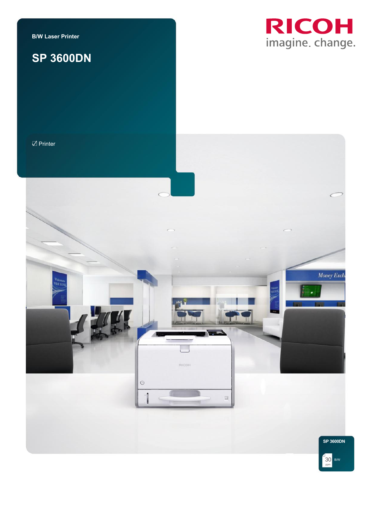**B/W Laser Printer**

# **SP 3600DN**



 $\mathbb Z$  Printer



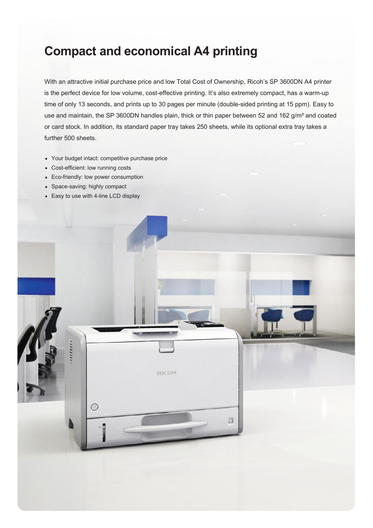## **Compact and economical A4 printing**

With an attractive initial purchase price and low Total Cost of Ownership, Ricoh's SP 3600DN A4 printer is the perfect device for low volume, cost-effective printing. It's also extremely compact, has a warm-up time of only 13 seconds, and prints up to 30 pages per minute (double-sided printing at 15 ppm). Easy to use and maintain, the SP 3600DN handles plain, thick or thin paper between 52 and 162 g/m² and coated or card stock. In addition, its standard paper tray takes 250 sheets, while its optional extra tray takes a further 500 sheets.

- Your budget intact: competitive purchase price
- Cost-efficient: low running costs
- Eco-friendly: low power consumption
- Space-saving: highly compact
- Easy to use with 4-line LCD display

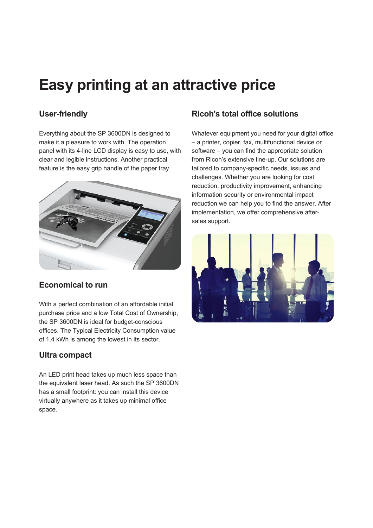# **Easy printing at an attractive price**

## **User-friendly**

Everything about the SP 3600DN is designed to make it a pleasure to work with. The operation panel with its 4-line LCD display is easy to use, with clear and legible instructions. Another practical feature is the easy grip handle of the paper tray.



## **Economical to run**

With a perfect combination of an affordable initial purchase price and a low Total Cost of Ownership, the SP 3600DN is ideal for budget-conscious offices. The Typical Electricity Consumption value of 1.4 kWh is among the lowest in its sector.

## **Ultra compact**

An LED print head takes up much less space than the equivalent laser head. As such the SP 3600DN has a small footprint: you can install this device virtually anywhere as it takes up minimal office space.

## **Ricoh's total office solutions**

Whatever equipment you need for your digital office – a printer, copier, fax, multifunctional device or software – you can find the appropriate solution from Ricoh's extensive line-up. Our solutions are tailored to company-specific needs, issues and challenges. Whether you are looking for cost reduction, productivity improvement, enhancing information security or environmental impact reduction we can help you to find the answer. After implementation, we offer comprehensive aftersales support.